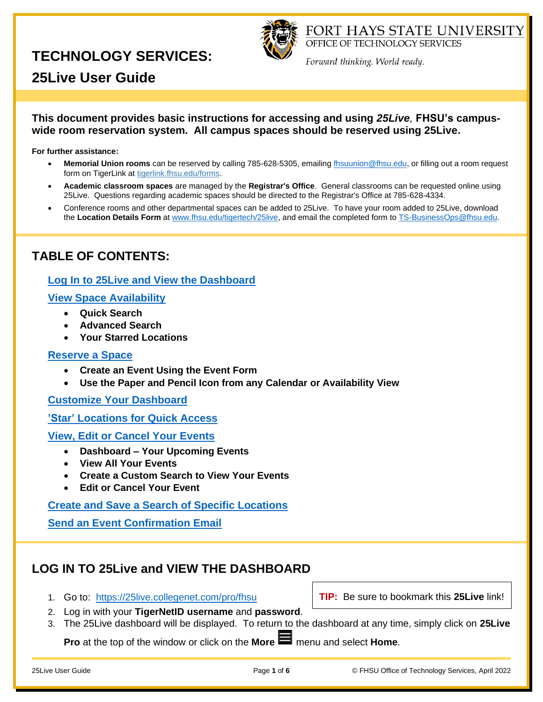

FORT HAYS STATE UNIVERSITY OFFICE OF TECHNOLOGY SERVICES

Forward thinking. World ready.

# **25Live User Guide**

**This document provides basic instructions for accessing and using** *25Live,* **FHSU's campuswide room reservation system. All campus spaces should be reserved using 25Live.**

<span id="page-0-1"></span>**For further assistance:**

- **Memorial Union rooms** can be reserved by calling 785-628-5305, emailing [fhsuunion@fhsu.edu,](mailto:fhsuunion@fhsu.edu) or filling out a room request form on TigerLink at [tigerlink.fhsu.edu/forms.](https://tigerlink.fhsu.edu/forms)
- **Academic classroom spaces** are managed by the **Registrar's Office**. General classrooms can be requested online using 25Live. Questions regarding academic spaces should be directed to the Registrar's Office at 785-628-4334.
- Conference rooms and other departmental spaces can be added to 25Live. To have your room added to 25Live, download the **Location Details Form** at [www.fhsu.edu/tigertech/25live,](https://www.fhsu.edu/tigertech/25live) and email the completed form t[o TS-BusinessOps@fhsu.edu.](mailto:TS-BusinessOps@fhsu.edu)

### **TABLE OF CONTENTS:**

### **[Log In to 25Live and View the Dashboard](#page-0-0)**

#### **[View Space Availability](#page-1-0)**

- **Quick Search**
- **Advanced Search**
- **Your Starred Locations**

#### **[Reserve a Space](#page-2-0)**

- **Create an Event Using the Event Form**
- **Use the Paper and Pencil Icon from any Calendar or Availability View**

**[Customize Your Dashboard](#page-3-0)**

**'Star' [Locations for Quick Access](#page-3-1)**

**View, [Edit or Cancel Your Events](#page-4-0)**

- **Dashboard – Your Upcoming Events**
- **View All Your Events**
- **Create a Custom Search to View Your Events**
- **Edit or Cancel Your Event**

#### **[Create and Save a Search of Specific Locations](#page-5-0)**

**[Send an Event Confirmation Email](#page-5-1)**

### <span id="page-0-0"></span>**LOG IN TO 25Live and VIEW THE DASHBOARD**

1. Go to: <https://25live.collegenet.com/pro/fhsu>

**TIP:** Be sure to bookmark this **25Live** link!

- 2. Log in with your **TigerNetID username** and **password**.
- 3. The 25Live dashboard will be displayed. To return to the dashboard at any time, simply click on **25Live**

**Pro** at the top of the window or click on the **More** menu and select **Home**.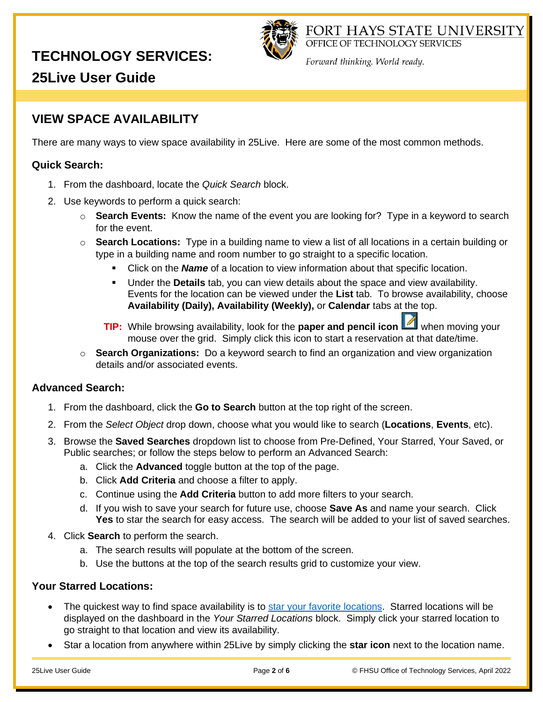

FORT HAYS STATE UNIVERSITY OFFICE OF TECHNOLOGY SERVICES

Forward thinking. World ready.

**25Live User Guide**

### <span id="page-1-0"></span>**VIEW SPACE AVAILABILITY**

There are many ways to view space availability in 25Live. Here are some of the most common methods.

### **Quick Search:**

- 1. From the dashboard, locate the *Quick Search* block.
- 2. Use keywords to perform a quick search:
	- o **Search Events:** Know the name of the event you are looking for? Type in a keyword to search for the event.
	- o **Search Locations:** Type in a building name to view a list of all locations in a certain building or type in a building name and room number to go straight to a specific location.
		- Click on the **Name** of a location to view information about that specific location.
		- Under the **Details** tab, you can view details about the space and view availability. Events for the location can be viewed under the **List** tab. To browse availability, choose **Availability (Daily), Availability (Weekly),** or **Calendar** tabs at the top.
		- **TIP:** While browsing availability, look for the **paper and pencil icon TIP**: While browsing your mouse over the grid. Simply click this icon to start a reservation at that date/time.
	- o **Search Organizations:** Do a keyword search to find an organization and view organization details and/or associated events.

### **Advanced Search:**

- 1. From the dashboard, click the **Go to Search** button at the top right of the screen.
- 2. From the *Select Object* drop down, choose what you would like to search (**Locations**, **Events**, etc).
- 3. Browse the **Saved Searches** dropdown list to choose from Pre-Defined, Your Starred, Your Saved, or Public searches; or follow the steps below to perform an Advanced Search:
	- a. Click the **Advanced** toggle button at the top of the page.
	- b. Click **Add Criteria** and choose a filter to apply.
	- c. Continue using the **Add Criteria** button to add more filters to your search.
	- d. If you wish to save your search for future use, choose **Save As** and name your search. Click **Yes** to star the search for easy access. The search will be added to your list of saved searches.
- 4. Click **Search** to perform the search.
	- a. The search results will populate at the bottom of the screen.
	- b. Use the buttons at the top of the search results grid to customize your view.

### **Your Starred Locations:**

- The quickest way to find space availability is to [star your favorite locations.](#page-3-1) Starred locations will be displayed on the dashboard in the *Your Starred Locations* block. Simply click your starred location to go straight to that location and view its availability.
- Star a location from anywhere within 25Live by simply clicking the **star icon** next to the location name.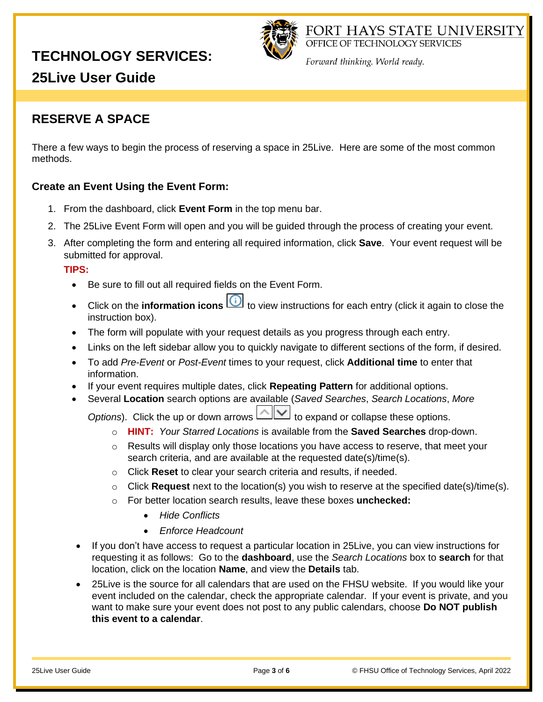

FORT HAYS STATE UNIVERSITY OFFICE OF TECHNOLOGY SERVICES

Forward thinking. World ready.

# **25Live User Guide**

### <span id="page-2-0"></span>**RESERVE A SPACE**

There a few ways to begin the process of reserving a space in 25Live. Here are some of the most common methods.

### **Create an Event Using the Event Form:**

- 1. From the dashboard, click **Event Form** in the top menu bar.
- 2. The 25Live Event Form will open and you will be guided through the process of creating your event.
- 3. After completing the form and entering all required information, click **Save**. Your event request will be submitted for approval.

**TIPS:**

- Be sure to fill out all required fields on the Event Form.
- Click on the **information icons i** to view instructions for each entry (click it again to close the instruction box).
- The form will populate with your request details as you progress through each entry.
- Links on the left sidebar allow you to quickly navigate to different sections of the form, if desired.
- To add *Pre-Event* or *Post-Event* times to your request, click **Additional time** to enter that information.
- If your event requires multiple dates, click **Repeating Pattern** for additional options.
- Several **Location** search options are available (*Saved Searches*, *Search Locations*, *More* 
	- *Options*). Click the up or down arrows  $\boxed{\sim}$  to expand or collapse these options.
		- o **HINT:** *Your Starred Locations* is available from the **Saved Searches** drop-down.
		- $\circ$  Results will display only those locations you have access to reserve, that meet your search criteria, and are available at the requested date(s)/time(s).
		- o Click **Reset** to clear your search criteria and results, if needed.
		- o Click **Request** next to the location(s) you wish to reserve at the specified date(s)/time(s).
		- o For better location search results, leave these boxes **unchecked:**
			- *Hide Conflicts*
			- *Enforce Headcount*
- If you don't have access to request a particular location in 25 Live, you can view instructions for requesting it as follows: Go to the **dashboard**, use the *Search Locations* box to **search** for that location, click on the location **Name**, and view the **Details** tab.
- 25Live is the source for all calendars that are used on the FHSU website. If you would like your event included on the calendar, check the appropriate calendar. If your event is private, and you want to make sure your event does not post to any public calendars, choose **Do NOT publish this event to a calendar**.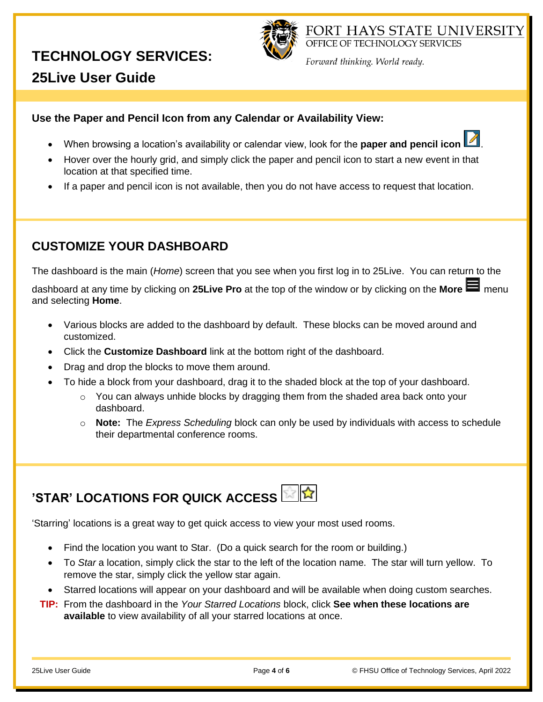

FORT HAYS STATE UNIVERSITY OFFICE OF TECHNOLOGY SERVICES

Forward thinking. World ready.

# **25Live User Guide**

### **Use the Paper and Pencil Icon from any Calendar or Availability View:**

- When browsing a location's availability or calendar view, look for the **paper and pencil icon** .
- Hover over the hourly grid, and simply click the paper and pencil icon to start a new event in that location at that specified time.
- If a paper and pencil icon is not available, then you do not have access to request that location.

### **CUSTOMIZE YOUR DASHBOARD**

<span id="page-3-0"></span>The dashboard is the main (*Home*) screen that you see when you first log in to 25Live. You can return to the

dashboard at any time by clicking on **25Live Pro** at the top of the window or by clicking on the **More** menu and selecting **Home**.

- Various blocks are added to the dashboard by default. These blocks can be moved around and customized.
- Click the **Customize Dashboard** link at the bottom right of the dashboard.
- Drag and drop the blocks to move them around.
- To hide a block from your dashboard, drag it to the shaded block at the top of your dashboard.
	- $\circ$  You can always unhide blocks by dragging them from the shaded area back onto your dashboard.
	- o **Note:** The *Express Scheduling* block can only be used by individuals with access to schedule their departmental conference rooms.

# **'STAR' LOCATIONS FOR QUICK ACCESS**

<span id="page-3-1"></span>'Starring' locations is a great way to get quick access to view your most used rooms.

- Find the location you want to Star. (Do a quick search for the room or building.)
- To *Star* a location, simply click the star to the left of the location name. The star will turn yellow. To remove the star, simply click the yellow star again.
- Starred locations will appear on your dashboard and will be available when doing custom searches.
- **TIP:** From the dashboard in the *Your Starred Locations* block, click **See when these locations are available** to view availability of all your starred locations at once.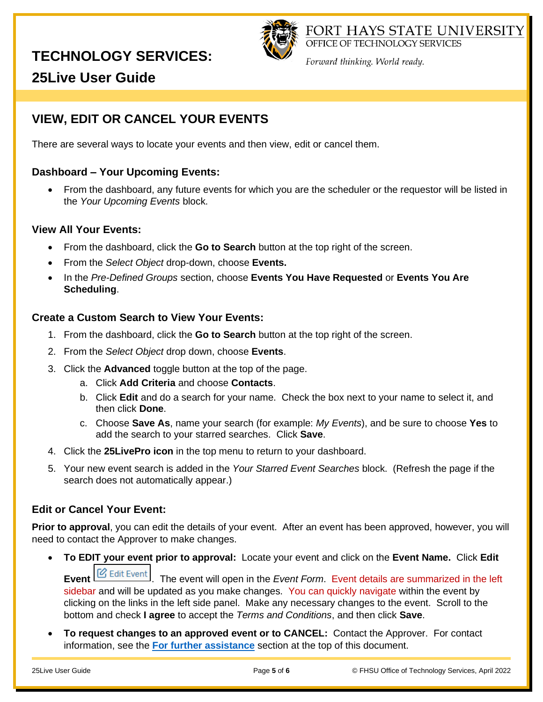

FORT HAYS STATE UNIVERSITY OFFICE OF TECHNOLOGY SERVICES

Forward thinking. World ready.

# **25Live User Guide**

## <span id="page-4-0"></span>**VIEW, EDIT OR CANCEL YOUR EVENTS**

There are several ways to locate your events and then view, edit or cancel them.

#### **Dashboard – Your Upcoming Events:**

• From the dashboard, any future events for which you are the scheduler or the requestor will be listed in the *Your Upcoming Events* block.

#### **View All Your Events:**

- From the dashboard, click the **Go to Search** button at the top right of the screen.
- From the *Select Object* drop-down, choose **Events.**
- In the *Pre-Defined Groups* section, choose **Events You Have Requested** or **Events You Are Scheduling**.

#### **Create a Custom Search to View Your Events:**

- 1. From the dashboard, click the **Go to Search** button at the top right of the screen.
- 2. From the *Select Object* drop down, choose **Events**.
- 3. Click the **Advanced** toggle button at the top of the page.
	- a. Click **Add Criteria** and choose **Contacts**.
	- b. Click **Edit** and do a search for your name. Check the box next to your name to select it, and then click **Done**.
	- c. Choose **Save As**, name your search (for example: *My Events*), and be sure to choose **Yes** to add the search to your starred searches. Click **Save**.
- 4. Click the **25LivePro icon** in the top menu to return to your dashboard.
- 5. Your new event search is added in the *Your Starred Event Searches* block. (Refresh the page if the search does not automatically appear.)

### **Edit or Cancel Your Event:**

**Prior to approval**, you can edit the details of your event. After an event has been approved, however, you will need to contact the Approver to make changes.

• **To EDIT your event prior to approval:** Locate your event and click on the **Event Name.** Click **Edit** 

**Event Exent** Event . The event will open in the *Event Form.* Event details are summarized in the left sidebar and will be updated as you make changes. You can quickly navigate within the event by clicking on the links in the left side panel. Make any necessary changes to the event. Scroll to the bottom and check **I agree** to accept the *Terms and Conditions*, and then click **Save**.

• **To request changes to an approved event or to CANCEL:** Contact the Approver. For contact information, see the **[For further assistance](#page-0-1)** section at the top of this document.